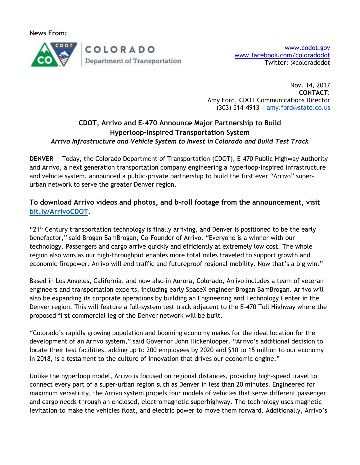**News From:**



Nov. 14, 2017 **CONTACT**: Amy Ford, CDOT Communications Director (303) 514-4913 | [amy.ford@state.co.us](mailto:amy.ford@state.co.us)

## **CDOT, Arrivo and E-470 Announce Major Partnership to Build Hyperloop-Inspired Transportation System** *Arrivo Infrastructure and Vehicle System to Invest in Colorado and Build Test Track*

**DENVER** — Today, the Colorado Department of Transportation (CDOT), E-470 Public Highway Authority and Arrivo, a next generation transportation company engineering a hyperloop-inspired infrastructure and vehicle system, announced a public-private partnership to build the first ever "Arrivo" superurban network to serve the greater Denver region.

# **To download Arrivo videos and photos, and b-roll footage from the announcement, visit [bit.ly/ArrivoCDOT.](http://bit.ly/ArrivoCDOT)**

"21<sup>st</sup> Century transportation technology is finally arriving, and Denver is positioned to be the early benefactor," said Brogan BamBrogan, Co-Founder of Arrivo. "Everyone is a winner with our technology. Passengers and cargo arrive quickly and efficiently at extremely low cost. The whole region also wins as our high-throughput enables more total miles traveled to support growth and economic firepower. Arrivo will end traffic and futureproof regional mobility. Now that's a big win."

Based in Los Angeles, California, and now also in Aurora, Colorado, Arrivo includes a team of veteran engineers and transportation experts, including early SpaceX engineer Brogan BamBrogan. Arrivo will also be expanding its corporate operations by building an Engineering and Technology Center in the Denver region. This will feature a full-system test track adjacent to the E-470 Toll Highway where the proposed first commercial leg of the Denver network will be built.

"Colorado's rapidly growing population and booming economy makes for the ideal location for the development of an Arrivo system," said Governor John Hickenlooper. "Arrivo's additional decision to locate their test facilities, adding up to 200 employees by 2020 and \$10 to 15 million to our economy in 2018, is a testament to the culture of innovation that drives our economic engine."

Unlike the hyperloop model, Arrivo is focused on regional distances, providing high-speed travel to connect every part of a super-urban region such as Denver in less than 20 minutes. Engineered for maximum versatility, the Arrivo system propels four models of vehicles that serve different passenger and cargo needs through an enclosed, electromagnetic superhighway. The technology uses magnetic levitation to make the vehicles float, and electric power to move them forward. Additionally, Arrivo's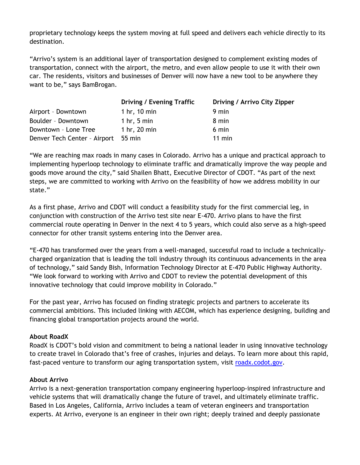proprietary technology keeps the system moving at full speed and delivers each vehicle directly to its destination.

"Arrivo's system is an additional layer of transportation designed to complement existing modes of transportation, connect with the airport, the metro, and even allow people to use it with their own car. The residents, visitors and businesses of Denver will now have a new tool to be anywhere they want to be," says BamBrogan.

|                                     | <b>Driving / Evening Traffic</b> | Driving / Arrivo City Zipper |
|-------------------------------------|----------------------------------|------------------------------|
| Airport - Downtown                  | 1 hr, $10 \text{ min}$           | 9 min                        |
| Boulder - Downtown                  | 1 hr, $5 \text{ min}$            | 8 min                        |
| Downtown - Lone Tree                | 1 hr, 20 min                     | 6 min                        |
| Denver Tech Center - Airport 55 min |                                  | $11$ min                     |

"We are reaching max roads in many cases in Colorado. Arrivo has a unique and practical approach to implementing hyperloop technology to eliminate traffic and dramatically improve the way people and goods move around the city," said Shailen Bhatt, Executive Director of CDOT. "As part of the next steps, we are committed to working with Arrivo on the feasibility of how we address mobility in our state."

As a first phase, Arrivo and CDOT will conduct a feasibility study for the first commercial leg, in conjunction with construction of the Arrivo test site near E-470. Arrivo plans to have the first commercial route operating in Denver in the next 4 to 5 years, which could also serve as a high-speed connector for other transit systems entering into the Denver area.

"E-470 has transformed over the years from a well-managed, successful road to include a technicallycharged organization that is leading the toll industry through its continuous advancements in the area of technology," said Sandy Bish, Information Technology Director at E-470 Public Highway Authority. "We look forward to working with Arrivo and CDOT to review the potential development of this innovative technology that could improve mobility in Colorado."

For the past year, Arrivo has focused on finding strategic projects and partners to accelerate its commercial ambitions. This included linking with AECOM, which has experience designing, building and financing global transportation projects around the world.

#### **About RoadX**

RoadX is CDOT's bold vision and commitment to being a national leader in using innovative technology to create travel in Colorado that's free of crashes, injuries and delays. To learn more about this rapid, fast-paced venture to transform our aging transportation system, visit [roadx.codot.gov.](http://roadx.codot.gov/)

#### **About Arrivo**

Arrivo is a next-generation transportation company engineering hyperloop-inspired infrastructure and vehicle systems that will dramatically change the future of travel, and ultimately eliminate traffic. Based in Los Angeles, California, Arrivo includes a team of veteran engineers and transportation experts. At Arrivo, everyone is an engineer in their own right; deeply trained and deeply passionate